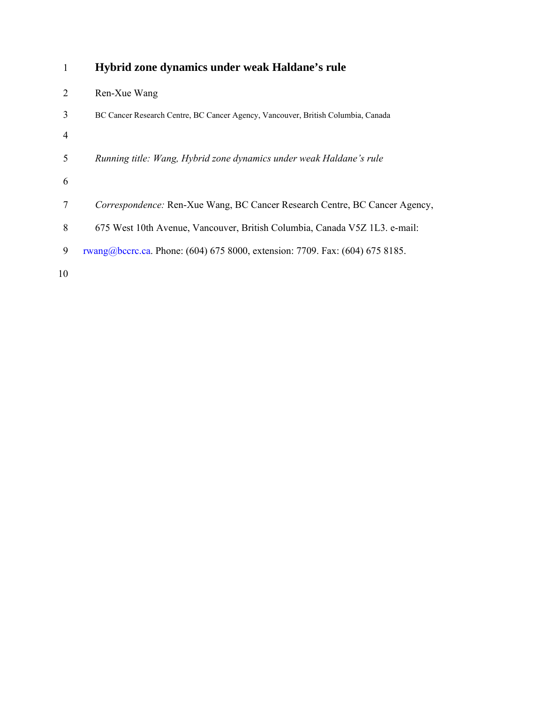| 1              | Hybrid zone dynamics under weak Haldane's rule                                   |
|----------------|----------------------------------------------------------------------------------|
| $\overline{2}$ | Ren-Xue Wang                                                                     |
| 3              | BC Cancer Research Centre, BC Cancer Agency, Vancouver, British Columbia, Canada |
| 4              |                                                                                  |
| 5              | Running title: Wang, Hybrid zone dynamics under weak Haldane's rule              |
| 6              |                                                                                  |
| 7              | Correspondence: Ren-Xue Wang, BC Cancer Research Centre, BC Cancer Agency,       |
| 8              | 675 West 10th Avenue, Vancouver, British Columbia, Canada V5Z 1L3. e-mail:       |
| 9              | rwang@bccrc.ca. Phone: (604) 675 8000, extension: 7709. Fax: (604) 675 8185.     |
| 10             |                                                                                  |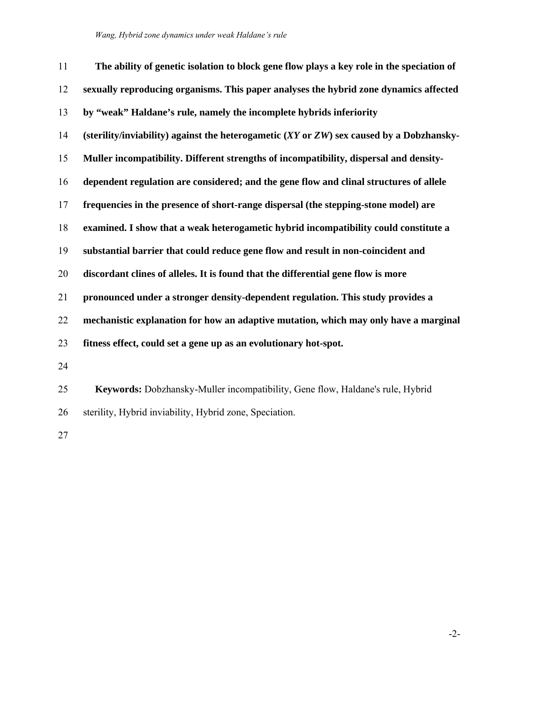| 11 | The ability of genetic isolation to block gene flow plays a key role in the speciation of           |
|----|-----------------------------------------------------------------------------------------------------|
| 12 | sexually reproducing organisms. This paper analyses the hybrid zone dynamics affected               |
| 13 | by "weak" Haldane's rule, namely the incomplete hybrids inferiority                                 |
| 14 | (sterility/inviability) against the heterogametic $(XY \text{ or } ZW)$ sex caused by a Dobzhansky- |
| 15 | Muller incompatibility. Different strengths of incompatibility, dispersal and density-              |
| 16 | dependent regulation are considered; and the gene flow and clinal structures of allele              |
| 17 | frequencies in the presence of short-range dispersal (the stepping-stone model) are                 |
| 18 | examined. I show that a weak heterogametic hybrid incompatibility could constitute a                |
| 19 | substantial barrier that could reduce gene flow and result in non-coincident and                    |
| 20 | discordant clines of alleles. It is found that the differential gene flow is more                   |
| 21 | pronounced under a stronger density-dependent regulation. This study provides a                     |
| 22 | mechanistic explanation for how an adaptive mutation, which may only have a marginal                |
| 23 | fitness effect, could set a gene up as an evolutionary hot-spot.                                    |
| 24 |                                                                                                     |
| 25 | Keywords: Dobzhansky-Muller incompatibility, Gene flow, Haldane's rule, Hybrid                      |
| 26 | sterility, Hybrid inviability, Hybrid zone, Speciation.                                             |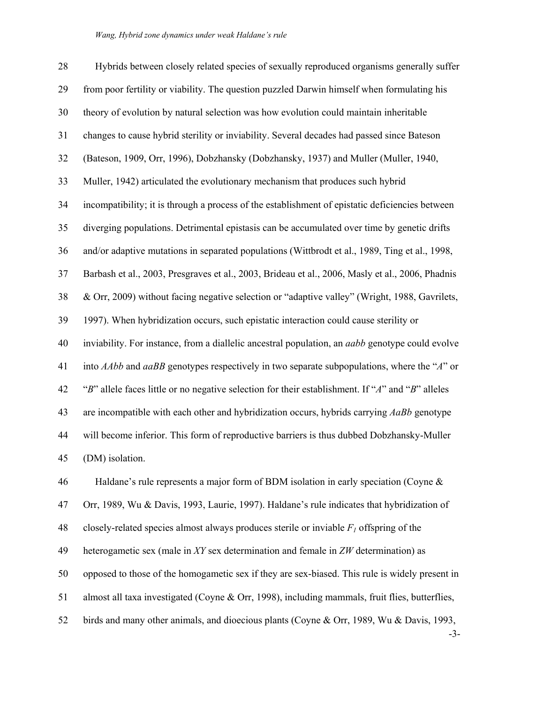# *Wang, Hybrid zone dynamics under weak Haldane's rule*

| 28 | Hybrids between closely related species of sexually reproduced organisms generally suffer              |
|----|--------------------------------------------------------------------------------------------------------|
| 29 | from poor fertility or viability. The question puzzled Darwin himself when formulating his             |
| 30 | theory of evolution by natural selection was how evolution could maintain inheritable                  |
| 31 | changes to cause hybrid sterility or inviability. Several decades had passed since Bateson             |
| 32 | (Bateson, 1909, Orr, 1996), Dobzhansky (Dobzhansky, 1937) and Muller (Muller, 1940,                    |
| 33 | Muller, 1942) articulated the evolutionary mechanism that produces such hybrid                         |
| 34 | incompatibility; it is through a process of the establishment of epistatic deficiencies between        |
| 35 | diverging populations. Detrimental epistasis can be accumulated over time by genetic drifts            |
| 36 | and/or adaptive mutations in separated populations (Wittbrodt et al., 1989, Ting et al., 1998,         |
| 37 | Barbash et al., 2003, Presgraves et al., 2003, Brideau et al., 2006, Masly et al., 2006, Phadnis       |
| 38 | & Orr, 2009) without facing negative selection or "adaptive valley" (Wright, 1988, Gavrilets,          |
| 39 | 1997). When hybridization occurs, such epistatic interaction could cause sterility or                  |
| 40 | inviability. For instance, from a diallelic ancestral population, an <i>aabb</i> genotype could evolve |
| 41 | into $AAbb$ and $aaBB$ genotypes respectively in two separate subpopulations, where the " $A$ " or     |
| 42 | "B" allele faces little or no negative selection for their establishment. If "A" and "B" alleles       |
| 43 | are incompatible with each other and hybridization occurs, hybrids carrying AaBb genotype              |
| 44 | will become inferior. This form of reproductive barriers is thus dubbed Dobzhansky-Muller              |
| 45 | (DM) isolation.                                                                                        |
| 46 | Haldane's rule represents a major form of BDM isolation in early speciation (Coyne $\&$                |
| 47 | Orr, 1989, Wu & Davis, 1993, Laurie, 1997). Haldane's rule indicates that hybridization of             |
| 48 | closely-related species almost always produces sterile or inviable $F_l$ offspring of the              |
| 49 | heterogametic sex (male in XY sex determination and female in ZW determination) as                     |
| 50 | opposed to those of the homogametic sex if they are sex-biased. This rule is widely present in         |
| 51 | almost all taxa investigated (Coyne & Orr, 1998), including mammals, fruit flies, butterflies,         |
| 52 | birds and many other animals, and dioecious plants (Coyne & Orr, 1989, Wu & Davis, 1993,               |

-3-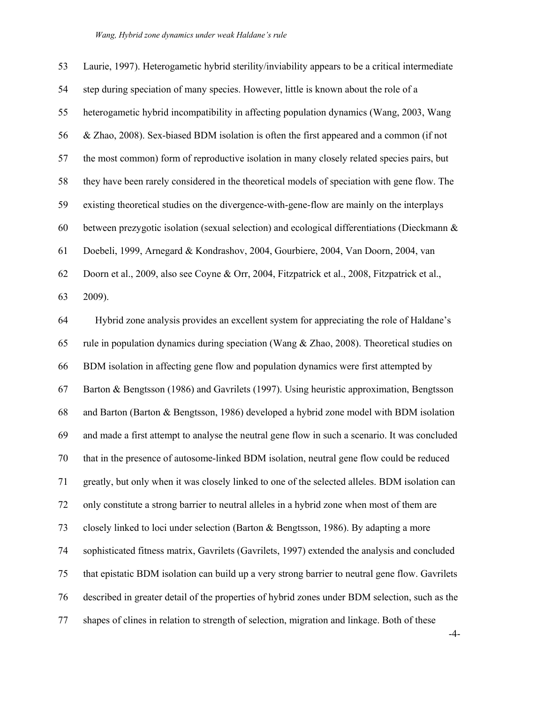| 53 | Laurie, 1997). Heterogametic hybrid sterility/inviability appears to be a critical intermediate |
|----|-------------------------------------------------------------------------------------------------|
| 54 | step during speciation of many species. However, little is known about the role of a            |
| 55 | heterogametic hybrid incompatibility in affecting population dynamics (Wang, 2003, Wang         |
| 56 | & Zhao, 2008). Sex-biased BDM isolation is often the first appeared and a common (if not        |
| 57 | the most common) form of reproductive isolation in many closely related species pairs, but      |
| 58 | they have been rarely considered in the theoretical models of speciation with gene flow. The    |
| 59 | existing theoretical studies on the divergence-with-gene-flow are mainly on the interplays      |
| 60 | between prezygotic isolation (sexual selection) and ecological differentiations (Dieckmann &    |
| 61 | Doebeli, 1999, Arnegard & Kondrashov, 2004, Gourbiere, 2004, Van Doorn, 2004, van               |
| 62 | Doorn et al., 2009, also see Coyne & Orr, 2004, Fitzpatrick et al., 2008, Fitzpatrick et al.,   |
| 63 | 2009).                                                                                          |
| 64 | Hybrid zone analysis provides an excellent system for appreciating the role of Haldane's        |
| 65 | rule in population dynamics during speciation (Wang $&$ Zhao, 2008). Theoretical studies on     |
| 66 | BDM isolation in affecting gene flow and population dynamics were first attempted by            |
| 67 | Barton & Bengtsson (1986) and Gavrilets (1997). Using heuristic approximation, Bengtsson        |
| 68 | and Barton (Barton & Bengtsson, 1986) developed a hybrid zone model with BDM isolation          |
| 69 | and made a first attempt to analyse the neutral gene flow in such a scenario. It was concluded  |
| 70 | that in the presence of autosome-linked BDM isolation, neutral gene flow could be reduced       |
| 71 | greatly, but only when it was closely linked to one of the selected alleles. BDM isolation can  |
| 72 | only constitute a strong barrier to neutral alleles in a hybrid zone when most of them are      |
| 73 | closely linked to loci under selection (Barton & Bengtsson, 1986). By adapting a more           |
| 74 | sophisticated fitness matrix, Gavrilets (Gavrilets, 1997) extended the analysis and concluded   |
| 75 | that epistatic BDM isolation can build up a very strong barrier to neutral gene flow. Gavrilets |
| 76 | described in greater detail of the properties of hybrid zones under BDM selection, such as the  |
| 77 | shapes of clines in relation to strength of selection, migration and linkage. Both of these     |

-4-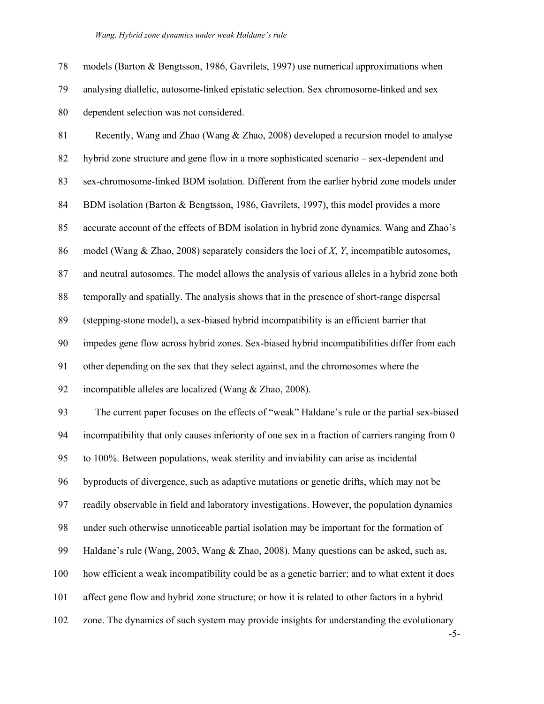*Wang, Hybrid zone dynamics under weak Haldane's rule* 

-5- 78 models (Barton & Bengtsson, 1986, Gavrilets, 1997) use numerical approximations when 79 analysing diallelic, autosome-linked epistatic selection. Sex chromosome-linked and sex 80 dependent selection was not considered. 81 Recently, Wang and Zhao (Wang & Zhao, 2008) developed a recursion model to analyse 82 hybrid zone structure and gene flow in a more sophisticated scenario – sex-dependent and 83 sex-chromosome-linked BDM isolation. Different from the earlier hybrid zone models under 84 BDM isolation (Barton & Bengtsson, 1986, Gavrilets, 1997), this model provides a more 85 accurate account of the effects of BDM isolation in hybrid zone dynamics. Wang and Zhao's 86 model (Wang & Zhao, 2008) separately considers the loci of *X*, *Y*, incompatible autosomes, 87 and neutral autosomes. The model allows the analysis of various alleles in a hybrid zone both 88 temporally and spatially. The analysis shows that in the presence of short-range dispersal 89 (stepping-stone model), a sex-biased hybrid incompatibility is an efficient barrier that 90 impedes gene flow across hybrid zones. Sex-biased hybrid incompatibilities differ from each 91 other depending on the sex that they select against, and the chromosomes where the 92 incompatible alleles are localized (Wang & Zhao, 2008). 93 The current paper focuses on the effects of "weak" Haldane's rule or the partial sex-biased 94 incompatibility that only causes inferiority of one sex in a fraction of carriers ranging from 0 95 to 100%. Between populations, weak sterility and inviability can arise as incidental 96 byproducts of divergence, such as adaptive mutations or genetic drifts, which may not be 97 readily observable in field and laboratory investigations. However, the population dynamics 98 under such otherwise unnoticeable partial isolation may be important for the formation of 99 Haldane's rule (Wang, 2003, Wang & Zhao, 2008). Many questions can be asked, such as, 100 how efficient a weak incompatibility could be as a genetic barrier; and to what extent it does 101 affect gene flow and hybrid zone structure; or how it is related to other factors in a hybrid 102 zone. The dynamics of such system may provide insights for understanding the evolutionary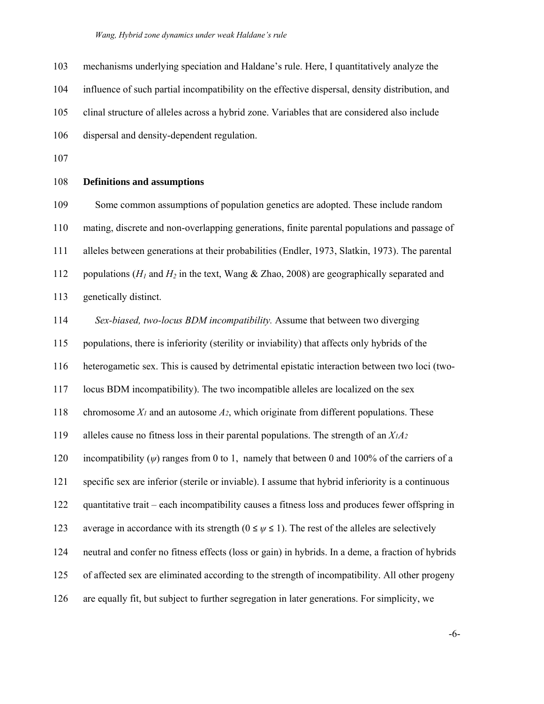103 mechanisms underlying speciation and Haldane's rule. Here, I quantitatively analyze the

104 influence of such partial incompatibility on the effective dispersal, density distribution, and

105 clinal structure of alleles across a hybrid zone. Variables that are considered also include

- 106 dispersal and density-dependent regulation.
- 107

## 108 **Definitions and assumptions**

109 Some common assumptions of population genetics are adopted. These include random 110 mating, discrete and non-overlapping generations, finite parental populations and passage of 111 alleles between generations at their probabilities (Endler, 1973, Slatkin, 1973). The parental 112 populations ( $H_1$  and  $H_2$  in the text, Wang & Zhao, 2008) are geographically separated and 113 genetically distinct.

114 *Sex-biased, two-locus BDM incompatibility.* Assume that between two diverging

115 populations, there is inferiority (sterility or inviability) that affects only hybrids of the

116 heterogametic sex. This is caused by detrimental epistatic interaction between two loci (two-

117 locus BDM incompatibility). The two incompatible alleles are localized on the sex

118 chromosome *X1* and an autosome *A2*, which originate from different populations. These

119 alleles cause no fitness loss in their parental populations. The strength of an *X1A2* 

120 incompatibility (*ψ*) ranges from 0 to 1, namely that between 0 and 100% of the carriers of a

121 specific sex are inferior (sterile or inviable). I assume that hybrid inferiority is a continuous

122 quantitative trait – each incompatibility causes a fitness loss and produces fewer offspring in

123 average in accordance with its strength  $(0 \le \psi \le 1)$ . The rest of the alleles are selectively

124 neutral and confer no fitness effects (loss or gain) in hybrids. In a deme, a fraction of hybrids

- 125 of affected sex are eliminated according to the strength of incompatibility. All other progeny
- 126 are equally fit, but subject to further segregation in later generations. For simplicity, we

-6-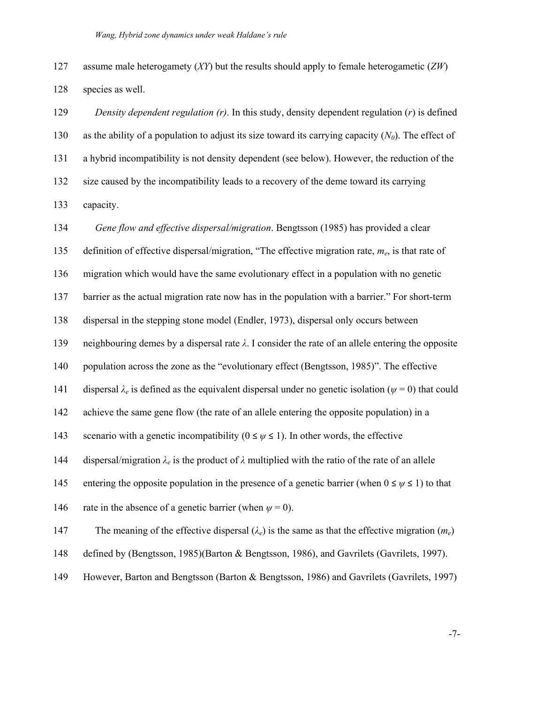127 assume male heterogamety (*XY*) but the results should apply to female heterogametic (*ZW*) 128 species as well.

129 *Density dependent regulation (r)*. In this study, density dependent regulation (*r*) is defined 130 as the ability of a population to adjust its size toward its carrying capacity  $(N_0)$ . The effect of 131 a hybrid incompatibility is not density dependent (see below). However, the reduction of the 132 size caused by the incompatibility leads to a recovery of the deme toward its carrying 133 capacity.

134 *Gene flow and effective dispersal/migration*. Bengtsson (1985) has provided a clear 135 definition of effective dispersal/migration, "The effective migration rate, *me*, is that rate of 136 migration which would have the same evolutionary effect in a population with no genetic 137 barrier as the actual migration rate now has in the population with a barrier." For short-term 138 dispersal in the stepping stone model (Endler, 1973), dispersal only occurs between 139 neighbouring demes by a dispersal rate *λ*. I consider the rate of an allele entering the opposite 140 population across the zone as the "evolutionary effect (Bengtsson, 1985)". The effective 141 dispersal  $\lambda_e$  is defined as the equivalent dispersal under no genetic isolation ( $\psi = 0$ ) that could 142 achieve the same gene flow (the rate of an allele entering the opposite population) in a 143 scenario with a genetic incompatibility  $(0 \le \psi \le 1)$ . In other words, the effective 144 dispersal/migration  $\lambda_e$  is the product of  $\lambda$  multiplied with the ratio of the rate of an allele 145 entering the opposite population in the presence of a genetic barrier (when  $0 \le \psi \le 1$ ) to that 146 rate in the absence of a genetic barrier (when  $\psi = 0$ ). 147 The meaning of the effective dispersal (*λe*) is the same as that the effective migration (*me*) 148 defined by (Bengtsson, 1985)(Barton & Bengtsson, 1986), and Gavrilets (Gavrilets, 1997).

149 However, Barton and Bengtsson (Barton & Bengtsson, 1986) and Gavrilets (Gavrilets, 1997)

-7-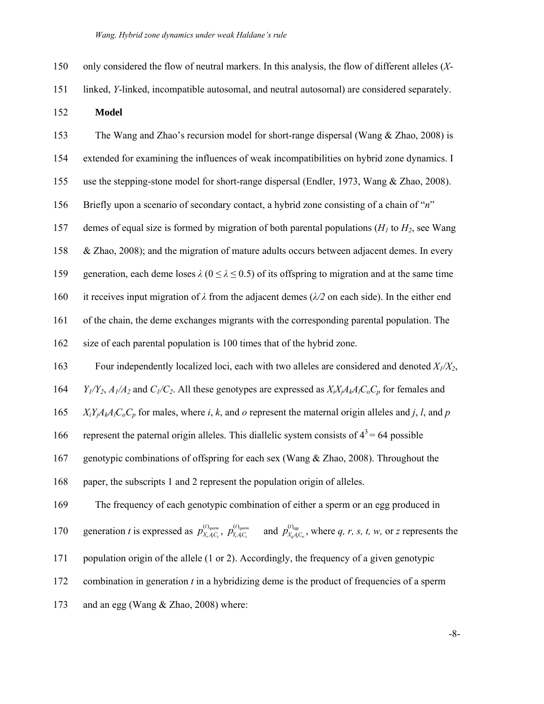| only considered the flow of neutral markers. In this analysis, the flow of different alleles (X-                                                           |
|------------------------------------------------------------------------------------------------------------------------------------------------------------|
| linked, Y-linked, incompatible autosomal, and neutral autosomal) are considered separately.                                                                |
| <b>Model</b>                                                                                                                                               |
| The Wang and Zhao's recursion model for short-range dispersal (Wang $&$ Zhao, 2008) is                                                                     |
| extended for examining the influences of weak incompatibilities on hybrid zone dynamics. I                                                                 |
| use the stepping-stone model for short-range dispersal (Endler, 1973, Wang & Zhao, 2008).                                                                  |
| Briefly upon a scenario of secondary contact, a hybrid zone consisting of a chain of "n"                                                                   |
| demes of equal size is formed by migration of both parental populations ( $H1$ to $H2$ , see Wang                                                          |
| & Zhao, 2008); and the migration of mature adults occurs between adjacent demes. In every                                                                  |
| generation, each deme loses $\lambda$ ( $0 \le \lambda \le 0.5$ ) of its offspring to migration and at the same time                                       |
| it receives input migration of $\lambda$ from the adjacent demes ( $\lambda/2$ on each side). In the either end                                            |
| of the chain, the deme exchanges migrants with the corresponding parental population. The                                                                  |
| size of each parental population is 100 times that of the hybrid zone.                                                                                     |
| Four independently localized loci, each with two alleles are considered and denoted $X_1/X_2$ ,                                                            |
| $Y_1/Y_2$ , $A_1/A_2$ and $C_1/C_2$ . All these genotypes are expressed as $X_iX_jA_kA_lC_oC_p$ for females and                                            |
| $X_i Y_j A_k A_l C_o C_p$ for males, where i, k, and o represent the maternal origin alleles and j, l, and p                                               |
| represent the paternal origin alleles. This diallelic system consists of $4^3$ = 64 possible                                                               |
| genotypic combinations of offspring for each sex (Wang & Zhao, 2008). Throughout the                                                                       |
| paper, the subscripts 1 and 2 represent the population origin of alleles.                                                                                  |
| The frequency of each genotypic combination of either a sperm or an egg produced in                                                                        |
| generation t is expressed as $p_{X_rA_C}^{(t)_{symm}}$ , $p_{Y_rA_C}^{(t)_{symm}}$ and $p_{X_aA_C}^{(t)_{reg}}$ , where q, r, s, t, w, or z represents the |
| population origin of the allele (1 or 2). Accordingly, the frequency of a given genotypic                                                                  |
| combination in generation $t$ in a hybridizing deme is the product of frequencies of a sperm                                                               |
| and an egg (Wang & Zhao, 2008) where:                                                                                                                      |
|                                                                                                                                                            |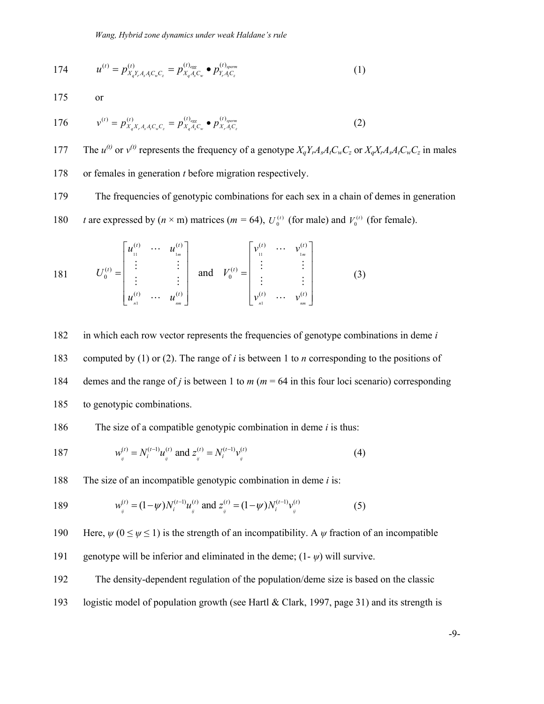174 
$$
u^{(t)} = p_{X_q Y_r A_s A_t C_w C_z}^{(t)} = p_{X_q A_s C_w}^{(t)} \bullet p_{Y_r A_t C_z}^{(t)} \tag{1}
$$

175 or

176 
$$
v^{(t)} = p_{X_q X_r A_s A_t C_w C_z}^{(t)} = p_{X_q A_s C_w}^{(t)_{sgsm}} \bullet p_{X_r A_t C_z}^{(t)_{sperm}}
$$
(2)

177 The  $u^{(t)}$  or  $v^{(t)}$  represents the frequency of a genotype  $X_q Y_r A_s A_t C_w C_z$  or  $X_q X_r A_s A_t C_w C_z$  in males

178 or females in generation *t* before migration respectively.

179 The frequencies of genotypic combinations for each sex in a chain of demes in generation

180 *t* are expressed by  $(n \times m)$  matrices  $(m = 64)$ ,  $U_0^{(t)}$  (for male) and  $V_0^{(t)}$  (for female).

181 
$$
U_0^{(t)} = \begin{bmatrix} u_1^{(t)} & \cdots & u_{1_m}^{(t)} \\ \vdots & & \vdots \\ u_n^{(t)} & \cdots & u_{nn}^{(t)} \end{bmatrix} \text{ and } V_0^{(t)} = \begin{bmatrix} v_1^{(t)} & \cdots & v_{1_m}^{(t)} \\ \vdots & & \vdots \\ v_n^{(t)} & \cdots & v_{nn}^{(t)} \end{bmatrix}
$$
(3)

182 in which each row vector represents the frequencies of genotype combinations in deme *i*

183 computed by (1) or (2). The range of *i* is between 1 to *n* corresponding to the positions of

184 demes and the range of *j* is between 1 to *m* (*m* = 64 in this four loci scenario) corresponding

185 to genotypic combinations.

## 186 The size of a compatible genotypic combination in deme *i* is thus:

187 
$$
w_{ij}^{(t)} = N_i^{(t-1)} u_{ij}^{(t)}
$$
 and  $z_{ij}^{(t)} = N_i^{(t-1)} v_{ij}^{(t)}$  (4)

188 The size of an incompatible genotypic combination in deme *i* is:

189 
$$
w_{ij}^{(t)} = (1 - \psi) N_i^{(t-1)} u_{ij}^{(t)} \text{ and } z_{ij}^{(t)} = (1 - \psi) N_i^{(t-1)} v_{ij}^{(t)}
$$
(5)

190 Here,  $\psi$  ( $0 \le \psi \le 1$ ) is the strength of an incompatibility. A  $\psi$  fraction of an incompatible

- 191 genotype will be inferior and eliminated in the deme;  $(1 \psi)$  will survive.
- 192 The density-dependent regulation of the population/deme size is based on the classic
- 193 logistic model of population growth (see Hartl & Clark, 1997, page 31) and its strength is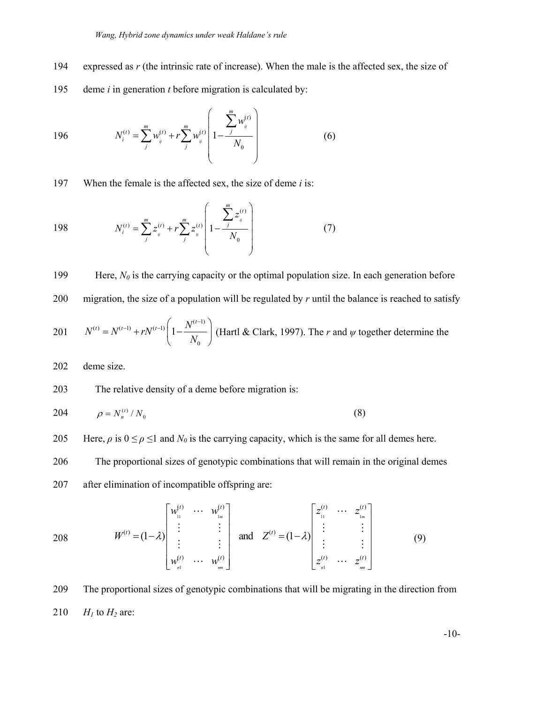- 194 expressed as *r* (the intrinsic rate of increase). When the male is the affected sex, the size of
- 195 deme *i* in generation *t* before migration is calculated by:

196 
$$
N_i^{(t)} = \sum_j^m w_j^{(t)} + r \sum_j^m w_j^{(t)} \left( 1 - \frac{\sum_j^m w_j^{(t)}}{N_0} \right)
$$
 (6)

197 When the female is the affected sex, the size of deme *i* is:

198 
$$
N_i^{(t)} = \sum_{j}^{m} z_{ij}^{(t)} + r \sum_{j}^{m} z_{ij}^{(t)} \left( 1 - \frac{\sum_{j}^{m} z_{ij}^{(t)}}{N_0} \right)
$$
 (7)

199 Here,  $N_0$  is the carrying capacity or the optimal population size. In each generation before

200 migration, the size of a population will be regulated by  $r$  until the balance is reached to satisfy

201 
$$
N^{(t)} = N^{(t-1)} + rN^{(t-1)} \left(1 - \frac{N^{(t-1)}}{N_0}\right)
$$
 (Hartl & Clark, 1997). The *r* and *\psi* together determine the

202 deme size.

203 The relative density of a deme before migration is:

204 
$$
\rho = N_n^{(t)} / N_0 \tag{8}
$$

205 Here,  $\rho$  is  $0 \le \rho \le 1$  and  $N_\theta$  is the carrying capacity, which is the same for all demes here.

206 The proportional sizes of genotypic combinations that will remain in the original demes

207 after elimination of incompatible offspring are:

208 
$$
W^{(t)} = (1 - \lambda) \begin{bmatrix} w_1^{(t)} & \cdots & w_{1m}^{(t)} \\ \vdots & & \vdots \\ \vdots & & \vdots \\ w_m^{(t)} & \cdots & w_{mn}^{(t)} \end{bmatrix}
$$
 and  $Z^{(t)} = (1 - \lambda) \begin{bmatrix} z_1^{(t)} & \cdots & z_{1m}^{(t)} \\ \vdots & & \vdots \\ z_m^{(t)} & \cdots & z_{mn}^{(t)} \end{bmatrix}$  (9)

209 The proportional sizes of genotypic combinations that will be migrating in the direction from 210  $H_1$  to  $H_2$  are:

-10-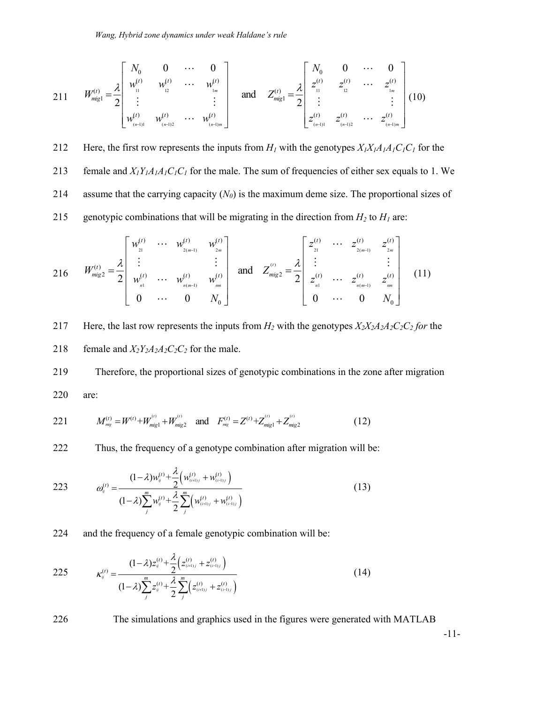211 
$$
W_{\text{migl}}^{(t)} = \frac{\lambda}{2} \begin{bmatrix} N_0 & 0 & \cdots & 0 \\ w_1^{(t)} & w_2^{(t)} & \cdots & w_{1m}^{(t)} \\ \vdots & & \vdots \\ w_{(n-1)1}^{(t)} & w_{(n-1)2}^{(t)} & \cdots & w_{(n-1)m}^{(t)} \end{bmatrix}
$$
 and  $Z_{\text{migl}}^{(t)} = \frac{\lambda}{2} \begin{bmatrix} N_0 & 0 & \cdots & 0 \\ z_1^{(t)} & z_2^{(t)} & \cdots & z_{1m}^{(t)} \\ \vdots & & \vdots \\ z_{(n-1)1}^{(t)} & z_{(n-1)2}^{(t)} & \cdots & z_{(n-1)m}^{(t)} \end{bmatrix}$  (10)

212 Here, the first row represents the inputs from  $H_1$  with the genotypes  $X_1X_1A_1A_1C_1C_1$  for the

213 female and  $X_1Y_1A_1A_1C_1C_1$  for the male. The sum of frequencies of either sex equals to 1. We

214 assume that the carrying capacity (*N0*) is the maximum deme size. The proportional sizes of

215 genotypic combinations that will be migrating in the direction from  $H_2$  to  $H_1$  are:

$$
216 \t W_{mig2}^{(t)} = \frac{\lambda}{2} \begin{bmatrix} w_{21}^{(t)} & \cdots & w_{2(m-1)}^{(t)} & w_{2m}^{(t)} \\ \vdots & & \vdots & \\ w_{m1}^{(t)} & \cdots & w_{m(m-1)}^{(t)} & w_{mn}^{(t)} \\ 0 & \cdots & 0 & N_0 \end{bmatrix} \quad \text{and} \quad Z_{mig2}^{(t)} = \frac{\lambda}{2} \begin{bmatrix} z_{21}^{(t)} & \cdots & z_{2(m-1)}^{(t)} & z_{2m}^{(t)} \\ \vdots & & \vdots & \\ z_{n1}^{(t)} & \cdots & z_{n(m-1)}^{(t)} & z_{mn}^{(t)} \\ 0 & \cdots & 0 & N_0 \end{bmatrix} \tag{11}
$$

217 Here, the last row represents the inputs from  $H_2$  with the genotypes  $X_2X_2A_2A_2C_2C_2$  for the 218 female and  $X_2Y_2A_2A_2C_2C_2$  for the male.

219 Therefore, the proportional sizes of genotypic combinations in the zone after migration 220 are:

221 
$$
M_{\text{mig}}^{(t)} = W^{(t)} + W_{\text{mig1}}^{(t)} + W_{\text{mig2}}^{(t)}
$$
 and  $F_{\text{mig}}^{(t)} = Z^{(t)} + Z_{\text{mig1}}^{(t)} + Z_{\text{mig2}}^{(t)}$  (12)

222 Thus, the frequency of a genotype combination after migration will be:

223 
$$
\omega_{ij}^{(t)} = \frac{(1-\lambda)w_{ij}^{(t)} + \frac{\lambda}{2}\left(w_{(i+1)j}^{(t)} + w_{(i-1)j}^{(t)}\right)}{(1-\lambda)\sum_{j}^{m}w_{ij}^{(t)} + \frac{\lambda}{2}\sum_{j}^{m}\left(w_{(i+1)j}^{(t)} + w_{(i-1)j}^{(t)}\right)}
$$
(13)

224 and the frequency of a female genotypic combination will be:

225 
$$
\kappa_{ij}^{(t)} = \frac{(1-\lambda)z_{ij}^{(t)} + \frac{\lambda}{2} \left(z_{(i+1)j}^{(t)} + z_{(i-1)j}^{(t)}\right)}{(1-\lambda)\sum_{j}^{m} z_{ij}^{(t)} + \frac{\lambda}{2} \sum_{j}^{m} \left(z_{(i+1)j}^{(t)} + z_{(i-1)j}^{(t)}\right)}
$$
(14)

226 The simulations and graphics used in the figures were generated with MATLAB

-11-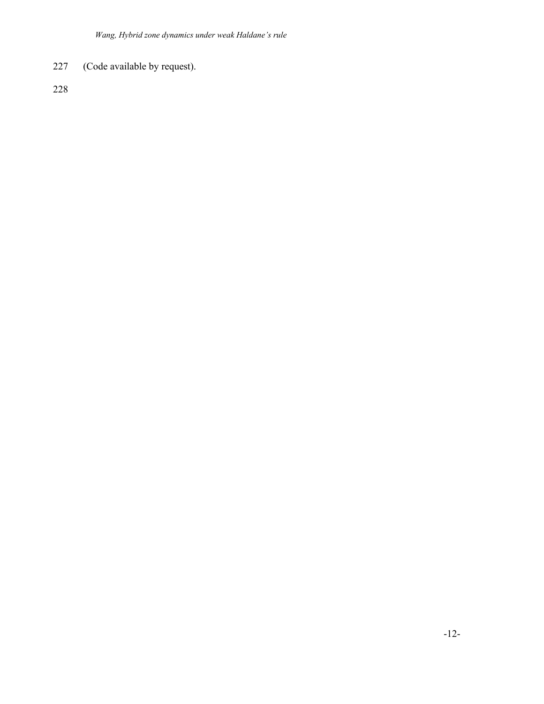227 (Code available by request).

228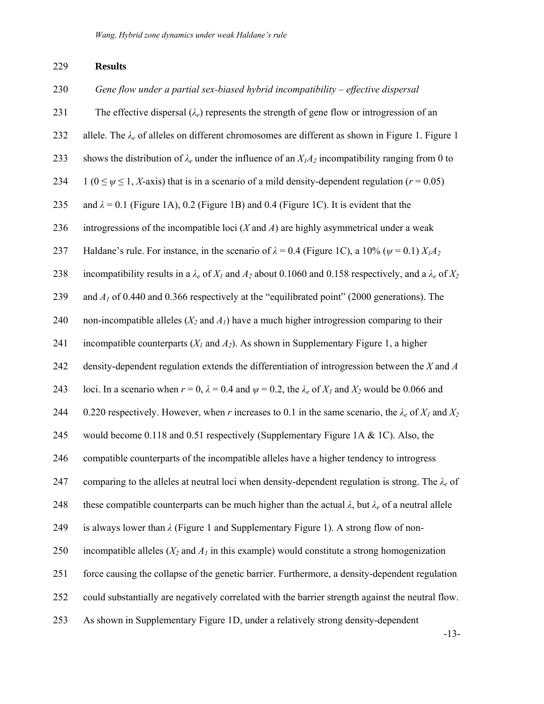# 229 **Results**

| 230 | Gene flow under a partial sex-biased hybrid incompatibility $-$ effective dispersal                                         |
|-----|-----------------------------------------------------------------------------------------------------------------------------|
| 231 | The effective dispersal $(\lambda_e)$ represents the strength of gene flow or introgression of an                           |
| 232 | allele. The $\lambda_e$ of alleles on different chromosomes are different as shown in Figure 1. Figure 1                    |
| 233 | shows the distribution of $\lambda_e$ under the influence of an $X_1A_2$ incompatibility ranging from 0 to                  |
| 234 | $1 (0 \le \psi \le 1, X$ -axis) that is in a scenario of a mild density-dependent regulation ( $r = 0.05$ )                 |
| 235 | and $\lambda = 0.1$ (Figure 1A), 0.2 (Figure 1B) and 0.4 (Figure 1C). It is evident that the                                |
| 236 | introgressions of the incompatible loci $(X \text{ and } A)$ are highly asymmetrical under a weak                           |
| 237 | Haldane's rule. For instance, in the scenario of $\lambda = 0.4$ (Figure 1C), a 10% ( $\psi = 0.1$ ) $X_1A_2$               |
| 238 | incompatibility results in a $\lambda_e$ of $X_l$ and $A_2$ about 0.1060 and 0.158 respectively, and a $\lambda_e$ of $X_2$ |
| 239 | and $Al$ of 0.440 and 0.366 respectively at the "equilibrated point" (2000 generations). The                                |
| 240 | non-incompatible alleles $(X_2 \text{ and } A_1)$ have a much higher introgression comparing to their                       |
| 241 | incompatible counterparts $(X_1 \text{ and } A_2)$ . As shown in Supplementary Figure 1, a higher                           |
| 242 | density-dependent regulation extends the differentiation of introgression between the $X$ and $A$                           |
| 243 | loci. In a scenario when $r = 0$ , $\lambda = 0.4$ and $\psi = 0.2$ , the $\lambda_e$ of $X_l$ and $X_2$ would be 0.066 and |
| 244 | 0.220 respectively. However, when r increases to 0.1 in the same scenario, the $\lambda_e$ of $X_1$ and $X_2$               |
| 245 | would become 0.118 and 0.51 respectively (Supplementary Figure 1A & 1C). Also, the                                          |
| 246 | compatible counterparts of the incompatible alleles have a higher tendency to introgress                                    |
| 247 | comparing to the alleles at neutral loci when density-dependent regulation is strong. The $\lambda_e$ of                    |
| 248 | these compatible counterparts can be much higher than the actual $\lambda$ , but $\lambda_e$ of a neutral allele            |
| 249 | is always lower than $\lambda$ (Figure 1 and Supplementary Figure 1). A strong flow of non-                                 |
| 250 | incompatible alleles $(X_2 \text{ and } A_1 \text{ in this example})$ would constitute a strong homogenization              |
| 251 | force causing the collapse of the genetic barrier. Furthermore, a density-dependent regulation                              |
| 252 | could substantially are negatively correlated with the barrier strength against the neutral flow.                           |
| 253 | As shown in Supplementary Figure 1D, under a relatively strong density-dependent                                            |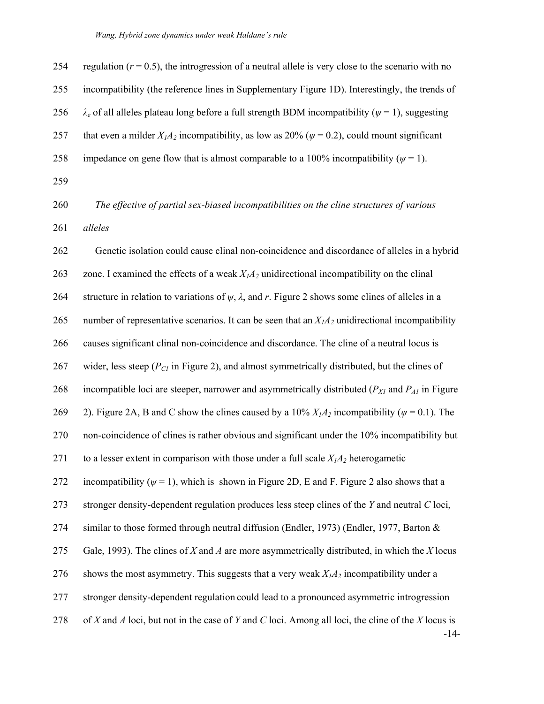| 254 | regulation ( $r = 0.5$ ), the introgression of a neutral allele is very close to the scenario with no         |
|-----|---------------------------------------------------------------------------------------------------------------|
| 255 | incompatibility (the reference lines in Supplementary Figure 1D). Interestingly, the trends of                |
| 256 | $\lambda_e$ of all alleles plateau long before a full strength BDM incompatibility ( $\psi$ = 1), suggesting  |
| 257 | that even a milder $X_1A_2$ incompatibility, as low as 20% ( $\psi$ = 0.2), could mount significant           |
| 258 | impedance on gene flow that is almost comparable to a 100% incompatibility ( $\psi$ = 1).                     |
| 259 |                                                                                                               |
| 260 | The effective of partial sex-biased incompatibilities on the cline structures of various                      |
| 261 | alleles                                                                                                       |
| 262 | Genetic isolation could cause clinal non-coincidence and discordance of alleles in a hybrid                   |
| 263 | zone. I examined the effects of a weak $X_1A_2$ unidirectional incompatibility on the clinal                  |
| 264 | structure in relation to variations of $\psi$ , $\lambda$ , and r. Figure 2 shows some clines of alleles in a |
| 265 | number of representative scenarios. It can be seen that an $X_1A_2$ unidirectional incompatibility            |
| 266 | causes significant clinal non-coincidence and discordance. The cline of a neutral locus is                    |
| 267 | wider, less steep ( $P_{CI}$ in Figure 2), and almost symmetrically distributed, but the clines of            |
| 268 | incompatible loci are steeper, narrower and asymmetrically distributed ( $P_{XI}$ and $P_{AI}$ in Figure      |
| 269 | 2). Figure 2A, B and C show the clines caused by a 10% $X_1A_2$ incompatibility ( $\psi$ = 0.1). The          |
| 270 | non-coincidence of clines is rather obvious and significant under the 10% incompatibility but                 |
| 271 | to a lesser extent in comparison with those under a full scale $X_1A_2$ heterogametic                         |
| 272 | incompatibility ( $\psi$ = 1), which is shown in Figure 2D, E and F. Figure 2 also shows that a               |
| 273 | stronger density-dependent regulation produces less steep clines of the Y and neutral C loci,                 |
| 274 | similar to those formed through neutral diffusion (Endler, 1973) (Endler, 1977, Barton &                      |
| 275 | Gale, 1993). The clines of X and A are more asymmetrically distributed, in which the X locus                  |
| 276 | shows the most asymmetry. This suggests that a very weak $X_1A_2$ incompatibility under a                     |
| 277 | stronger density-dependent regulation could lead to a pronounced asymmetric introgression                     |
| 278 | of X and A loci, but not in the case of Y and C loci. Among all loci, the cline of the X locus is<br>$-14-$   |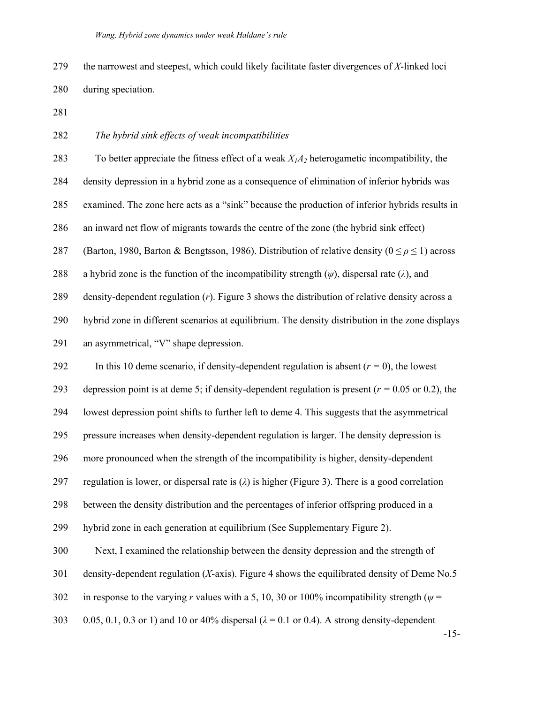279 the narrowest and steepest, which could likely facilitate faster divergences of *X*-linked loci 280 during speciation.

281

### 282 *The hybrid sink effects of weak incompatibilities*

283 To better appreciate the fitness effect of a weak *X1A2* heterogametic incompatibility, the

284 density depression in a hybrid zone as a consequence of elimination of inferior hybrids was

285 examined. The zone here acts as a "sink" because the production of inferior hybrids results in

286 an inward net flow of migrants towards the centre of the zone (the hybrid sink effect)

287 (Barton, 1980, Barton & Bengtsson, 1986). Distribution of relative density  $(0 \le \rho \le 1)$  across

288 a hybrid zone is the function of the incompatibility strength  $(\psi)$ , dispersal rate  $(\lambda)$ , and

289 density-dependent regulation (*r*). Figure 3 shows the distribution of relative density across a

290 hybrid zone in different scenarios at equilibrium. The density distribution in the zone displays

291 an asymmetrical, "V" shape depression.

292 In this 10 deme scenario, if density-dependent regulation is absent  $(r = 0)$ , the lowest

293 depression point is at deme 5; if density-dependent regulation is present (*r =* 0.05 or 0.2), the

294 lowest depression point shifts to further left to deme 4. This suggests that the asymmetrical

295 pressure increases when density-dependent regulation is larger. The density depression is

296 more pronounced when the strength of the incompatibility is higher, density-dependent

297 regulation is lower, or dispersal rate is (*λ*) is higher (Figure 3). There is a good correlation

298 between the density distribution and the percentages of inferior offspring produced in a

299 hybrid zone in each generation at equilibrium (See Supplementary Figure 2).

300 Next, I examined the relationship between the density depression and the strength of

301 density-dependent regulation (*X*-axis). Figure 4 shows the equilibrated density of Deme No.5

302 in response to the varying *r* values with a 5, 10, 30 or 100% incompatibility strength ( $\psi$  =

303 0.05, 0.1, 0.3 or 1) and 10 or 40% dispersal (*λ* = 0.1 or 0.4). A strong density-dependent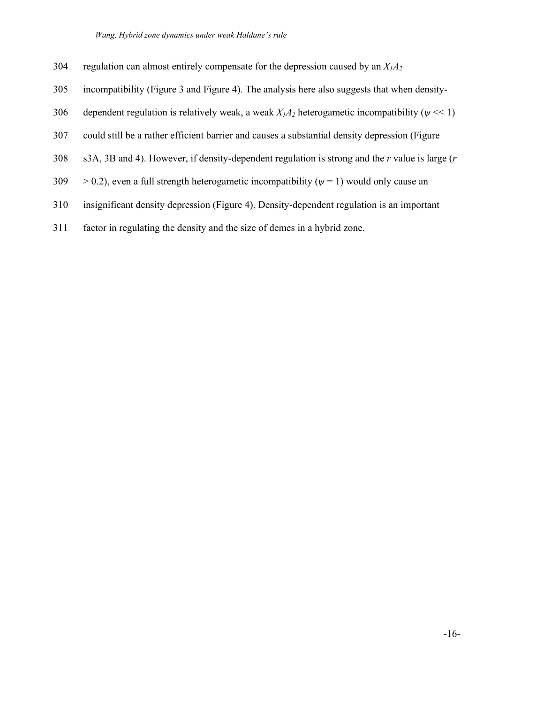*Wang, Hybrid zone dynamics under weak Haldane's rule* 

- 304 regulation can almost entirely compensate for the depression caused by an *X1A2*
- 305 incompatibility (Figure 3 and Figure 4). The analysis here also suggests that when density-
- 306 dependent regulation is relatively weak, a weak  $X_1A_2$  heterogametic incompatibility ( $\psi \ll 1$ )
- 307 could still be a rather efficient barrier and causes a substantial density depression (Figure
- 308 s3A, 3B and 4). However, if density-dependent regulation is strong and the *r* value is large (*r*
- 309  $> 0.2$ ), even a full strength heterogametic incompatibility ( $\psi = 1$ ) would only cause an
- 310 insignificant density depression (Figure 4). Density-dependent regulation is an important
- 311 factor in regulating the density and the size of demes in a hybrid zone.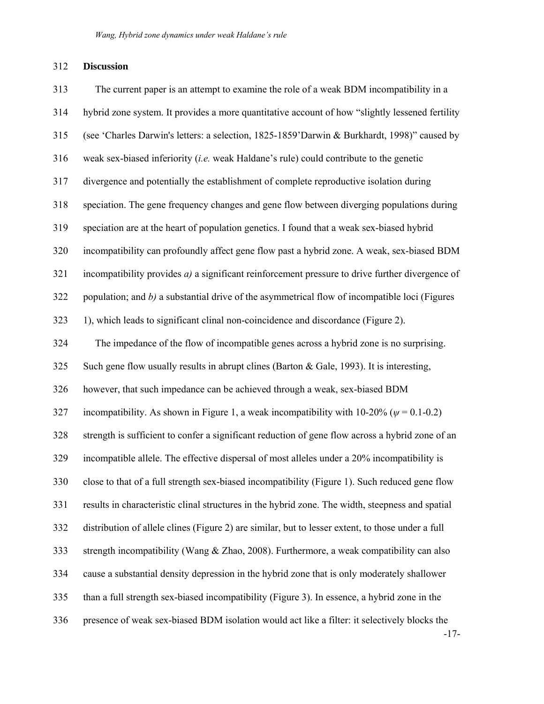#### 312 **Discussion**

313 The current paper is an attempt to examine the role of a weak BDM incompatibility in a 314 hybrid zone system. It provides a more quantitative account of how "slightly lessened fertility 315 (see 'Charles Darwin's letters: a selection, 1825-1859'Darwin & Burkhardt, 1998)" caused by 316 weak sex-biased inferiority (*i.e.* weak Haldane's rule) could contribute to the genetic 317 divergence and potentially the establishment of complete reproductive isolation during 318 speciation. The gene frequency changes and gene flow between diverging populations during 319 speciation are at the heart of population genetics. I found that a weak sex-biased hybrid 320 incompatibility can profoundly affect gene flow past a hybrid zone. A weak, sex-biased BDM 321 incompatibility provides *a)* a significant reinforcement pressure to drive further divergence of 322 population; and *b)* a substantial drive of the asymmetrical flow of incompatible loci (Figures 323 1), which leads to significant clinal non-coincidence and discordance (Figure 2). 324 The impedance of the flow of incompatible genes across a hybrid zone is no surprising. 325 Such gene flow usually results in abrupt clines (Barton & Gale, 1993). It is interesting, 326 however, that such impedance can be achieved through a weak, sex-biased BDM 327 incompatibility. As shown in Figure 1, a weak incompatibility with  $10\n-20\%$  ( $\psi = 0.1\n-0.2$ ) 328 strength is sufficient to confer a significant reduction of gene flow across a hybrid zone of an 329 incompatible allele. The effective dispersal of most alleles under a 20% incompatibility is 330 close to that of a full strength sex-biased incompatibility (Figure 1). Such reduced gene flow 331 results in characteristic clinal structures in the hybrid zone. The width, steepness and spatial 332 distribution of allele clines (Figure 2) are similar, but to lesser extent, to those under a full 333 strength incompatibility (Wang & Zhao, 2008). Furthermore, a weak compatibility can also 334 cause a substantial density depression in the hybrid zone that is only moderately shallower 335 than a full strength sex-biased incompatibility (Figure 3). In essence, a hybrid zone in the 336 presence of weak sex-biased BDM isolation would act like a filter: it selectively blocks the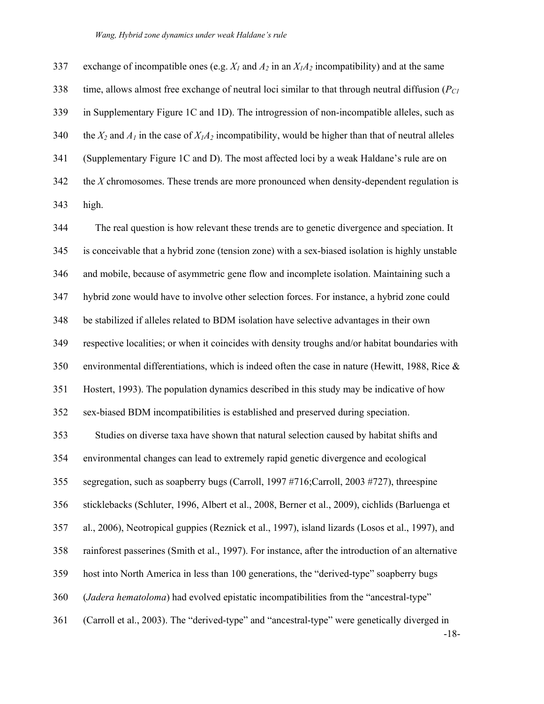337 exchange of incompatible ones (e.g.  $X_I$  and  $A_2$  in an  $X_I A_2$  incompatibility) and at the same 338 time, allows almost free exchange of neutral loci similar to that through neutral diffusion (*PC1* 339 in Supplementary Figure 1C and 1D). The introgression of non-incompatible alleles, such as 340 the  $X_2$  and  $A_1$  in the case of  $X_1A_2$  incompatibility, would be higher than that of neutral alleles 341 (Supplementary Figure 1C and D). The most affected loci by a weak Haldane's rule are on 342 the *X* chromosomes. These trends are more pronounced when density-dependent regulation is 343 high.

-18- 344 The real question is how relevant these trends are to genetic divergence and speciation. It 345 is conceivable that a hybrid zone (tension zone) with a sex-biased isolation is highly unstable 346 and mobile, because of asymmetric gene flow and incomplete isolation. Maintaining such a 347 hybrid zone would have to involve other selection forces. For instance, a hybrid zone could 348 be stabilized if alleles related to BDM isolation have selective advantages in their own 349 respective localities; or when it coincides with density troughs and/or habitat boundaries with 350 environmental differentiations, which is indeed often the case in nature (Hewitt, 1988, Rice & 351 Hostert, 1993). The population dynamics described in this study may be indicative of how 352 sex-biased BDM incompatibilities is established and preserved during speciation. 353 Studies on diverse taxa have shown that natural selection caused by habitat shifts and 354 environmental changes can lead to extremely rapid genetic divergence and ecological 355 segregation, such as soapberry bugs (Carroll, 1997 #716;Carroll, 2003 #727), threespine 356 sticklebacks (Schluter, 1996, Albert et al., 2008, Berner et al., 2009), cichlids (Barluenga et 357 al., 2006), Neotropical guppies (Reznick et al., 1997), island lizards (Losos et al., 1997), and 358 rainforest passerines (Smith et al., 1997). For instance, after the introduction of an alternative 359 host into North America in less than 100 generations, the "derived-type" soapberry bugs 360 (*Jadera hematoloma*) had evolved epistatic incompatibilities from the "ancestral-type" 361 (Carroll et al., 2003). The "derived-type" and "ancestral-type" were genetically diverged in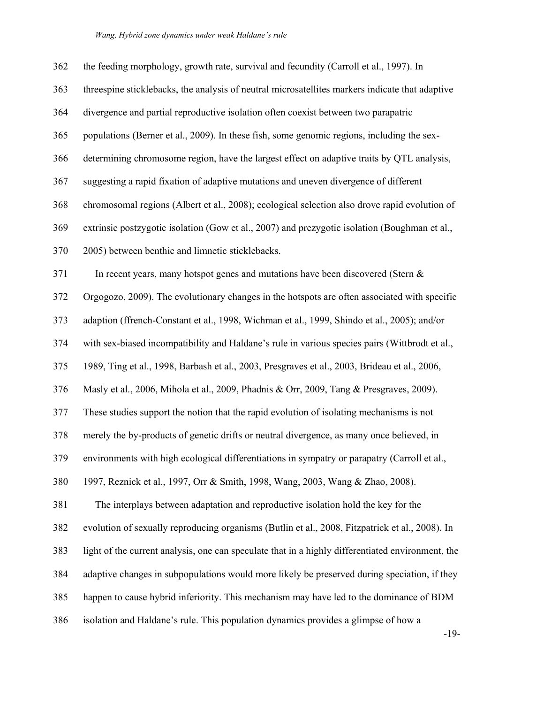| 362 | the feeding morphology, growth rate, survival and fecundity (Carroll et al., 1997). In            |
|-----|---------------------------------------------------------------------------------------------------|
| 363 | threespine sticklebacks, the analysis of neutral microsatellites markers indicate that adaptive   |
| 364 | divergence and partial reproductive isolation often coexist between two parapatric                |
| 365 | populations (Berner et al., 2009). In these fish, some genomic regions, including the sex-        |
| 366 | determining chromosome region, have the largest effect on adaptive traits by QTL analysis,        |
| 367 | suggesting a rapid fixation of adaptive mutations and uneven divergence of different              |
| 368 | chromosomal regions (Albert et al., 2008); ecological selection also drove rapid evolution of     |
| 369 | extrinsic postzygotic isolation (Gow et al., 2007) and prezygotic isolation (Boughman et al.,     |
| 370 | 2005) between benthic and limnetic sticklebacks.                                                  |
| 371 | In recent years, many hotspot genes and mutations have been discovered (Stern $\&$                |
| 372 | Orgogozo, 2009). The evolutionary changes in the hotspots are often associated with specific      |
| 373 | adaption (ffrench-Constant et al., 1998, Wichman et al., 1999, Shindo et al., 2005); and/or       |
| 374 | with sex-biased incompatibility and Haldane's rule in various species pairs (Wittbrodt et al.,    |
| 375 | 1989, Ting et al., 1998, Barbash et al., 2003, Presgraves et al., 2003, Brideau et al., 2006,     |
| 376 | Masly et al., 2006, Mihola et al., 2009, Phadnis & Orr, 2009, Tang & Presgraves, 2009).           |
| 377 | These studies support the notion that the rapid evolution of isolating mechanisms is not          |
| 378 | merely the by-products of genetic drifts or neutral divergence, as many once believed, in         |
| 379 | environments with high ecological differentiations in sympatry or parapatry (Carroll et al.,      |
| 380 | 1997, Reznick et al., 1997, Orr & Smith, 1998, Wang, 2003, Wang & Zhao, 2008).                    |
| 381 | The interplays between adaptation and reproductive isolation hold the key for the                 |
| 382 | evolution of sexually reproducing organisms (Butlin et al., 2008, Fitzpatrick et al., 2008). In   |
| 383 | light of the current analysis, one can speculate that in a highly differentiated environment, the |
| 384 | adaptive changes in subpopulations would more likely be preserved during speciation, if they      |
| 385 | happen to cause hybrid inferiority. This mechanism may have led to the dominance of BDM           |
| 386 | isolation and Haldane's rule. This population dynamics provides a glimpse of how a                |

-19-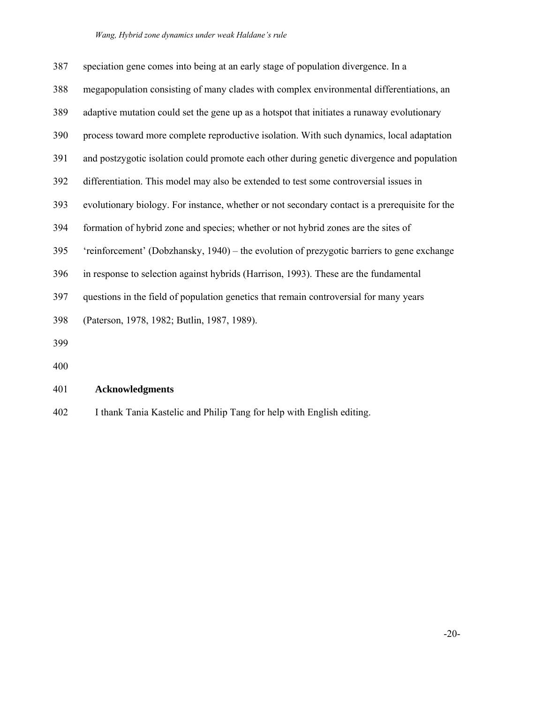#### *Wang, Hybrid zone dynamics under weak Haldane's rule*

| 387 | speciation gene comes into being at an early stage of population divergence. In a              |
|-----|------------------------------------------------------------------------------------------------|
| 388 | megapopulation consisting of many clades with complex environmental differentiations, an       |
| 389 | adaptive mutation could set the gene up as a hotspot that initiates a runaway evolutionary     |
| 390 | process toward more complete reproductive isolation. With such dynamics, local adaptation      |
| 391 | and postzygotic isolation could promote each other during genetic divergence and population    |
| 392 | differentiation. This model may also be extended to test some controversial issues in          |
| 393 | evolutionary biology. For instance, whether or not secondary contact is a prerequisite for the |
| 394 | formation of hybrid zone and species; whether or not hybrid zones are the sites of             |
| 395 | 'reinforcement' (Dobzhansky, 1940) – the evolution of prezygotic barriers to gene exchange     |
| 396 | in response to selection against hybrids (Harrison, 1993). These are the fundamental           |
| 397 | questions in the field of population genetics that remain controversial for many years         |
| 398 | (Paterson, 1978, 1982; Butlin, 1987, 1989).                                                    |
| 399 |                                                                                                |
|     |                                                                                                |

400

# 401 **Acknowledgments**

402 I thank Tania Kastelic and Philip Tang for help with English editing.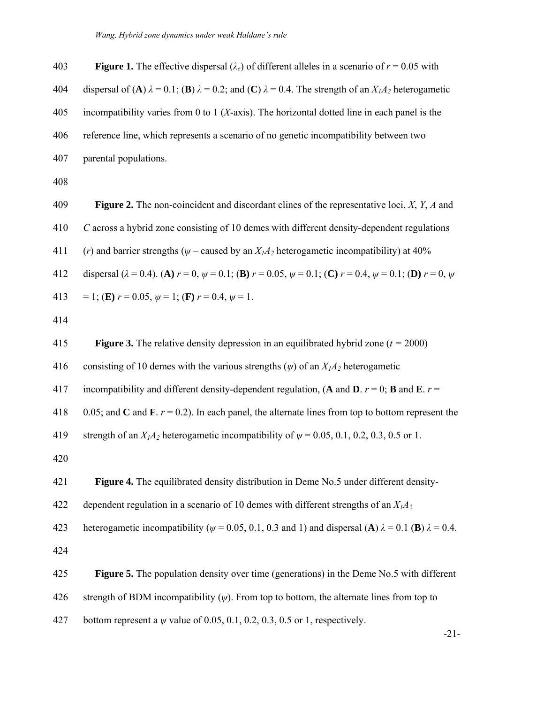| 403 | <b>Figure 1.</b> The effective dispersal ( $\lambda_e$ ) of different alleles in a scenario of $r = 0.05$ with                                  |
|-----|-------------------------------------------------------------------------------------------------------------------------------------------------|
| 404 | dispersal of (A) $\lambda$ = 0.1; (B) $\lambda$ = 0.2; and (C) $\lambda$ = 0.4. The strength of an $X_1A_2$ heterogametic                       |
| 405 | incompatibility varies from 0 to 1 ( $X$ -axis). The horizontal dotted line in each panel is the                                                |
| 406 | reference line, which represents a scenario of no genetic incompatibility between two                                                           |
| 407 | parental populations.                                                                                                                           |
| 408 |                                                                                                                                                 |
| 409 | <b>Figure 2.</b> The non-coincident and discordant clines of the representative loci, $X$ , $Y$ , $A$ and                                       |
| 410 | C across a hybrid zone consisting of 10 demes with different density-dependent regulations                                                      |
| 411 | ( <i>r</i> ) and barrier strengths ( $\psi$ – caused by an $X_1A_2$ heterogametic incompatibility) at 40%                                       |
| 412 | dispersal ( $\lambda = 0.4$ ). (A) $r = 0$ , $\psi = 0.1$ ; (B) $r = 0.05$ , $\psi = 0.1$ ; (C) $r = 0.4$ , $\psi = 0.1$ ; (D) $r = 0$ , $\psi$ |

- 413 = 1; (**E**)  $r = 0.05$ ,  $\psi = 1$ ; (**F**)  $r = 0.4$ ,  $\psi = 1$ .
- 414

415 **Figure 3.** The relative density depression in an equilibrated hybrid zone (*t =* 2000) 416 consisting of 10 demes with the various strengths  $(\psi)$  of an  $X_1A_2$  heterogametic 417 incompatibility and different density-dependent regulation,  $(A \text{ and } D, r = 0; B \text{ and } E, r = 1)$ 418 0.05; and **C** and **F**.  $r = 0.2$ ). In each panel, the alternate lines from top to bottom represent the 419 strength of an  $X_1A_2$  heterogametic incompatibility of  $\psi$  = 0.05, 0.1, 0.2, 0.3, 0.5 or 1. 420 421 **Figure 4.** The equilibrated density distribution in Deme No.5 under different density-422 dependent regulation in a scenario of 10 demes with different strengths of an  $X_1A_2$ 423 heterogametic incompatibility ( $\psi$  = 0.05, 0.1, 0.3 and 1) and dispersal (**A**)  $\lambda$  = 0.1 (**B**)  $\lambda$  = 0.4. 424 425 **Figure 5.** The population density over time (generations) in the Deme No.5 with different 426 strength of BDM incompatibility (*ψ*). From top to bottom, the alternate lines from top to 427 bottom represent a *ψ* value of 0.05, 0.1, 0.2, 0.3, 0.5 or 1, respectively.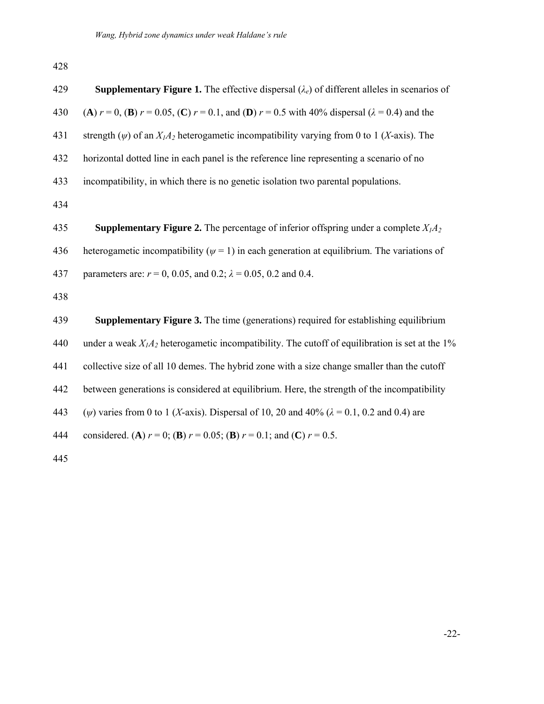428

| 429 | <b>Supplementary Figure 1.</b> The effective dispersal $(\lambda_e)$ of different alleles in scenarios of       |
|-----|-----------------------------------------------------------------------------------------------------------------|
| 430 | (A) $r = 0$ , (B) $r = 0.05$ , (C) $r = 0.1$ , and (D) $r = 0.5$ with 40% dispersal ( $\lambda = 0.4$ ) and the |
| 431 | strength ( $\psi$ ) of an $X_1A_2$ heterogametic incompatibility varying from 0 to 1 (X-axis). The              |
| 432 | horizontal dotted line in each panel is the reference line representing a scenario of no                        |
| 433 | incompatibility, in which there is no genetic isolation two parental populations.                               |
| 434 |                                                                                                                 |
| 435 | <b>Supplementary Figure 2.</b> The percentage of inferior offspring under a complete $X_1A_2$                   |
| 436 | heterogametic incompatibility ( $\psi$ = 1) in each generation at equilibrium. The variations of                |
| 437 | parameters are: $r = 0$ , 0.05, and 0.2; $\lambda = 0.05$ , 0.2 and 0.4.                                        |
| 438 |                                                                                                                 |
| 439 | Supplementary Figure 3. The time (generations) required for establishing equilibrium                            |
| 440 | under a weak $X_1A_2$ heterogametic incompatibility. The cutoff of equilibration is set at the 1%               |
| 441 | collective size of all 10 demes. The hybrid zone with a size change smaller than the cutoff                     |
| 442 | between generations is considered at equilibrium. Here, the strength of the incompatibility                     |
| 443 | ( $\psi$ ) varies from 0 to 1 (X-axis). Dispersal of 10, 20 and 40% ( $\lambda$ = 0.1, 0.2 and 0.4) are         |
| 444 | considered. (A) $r = 0$ ; (B) $r = 0.05$ ; (B) $r = 0.1$ ; and (C) $r = 0.5$ .                                  |
|     |                                                                                                                 |

445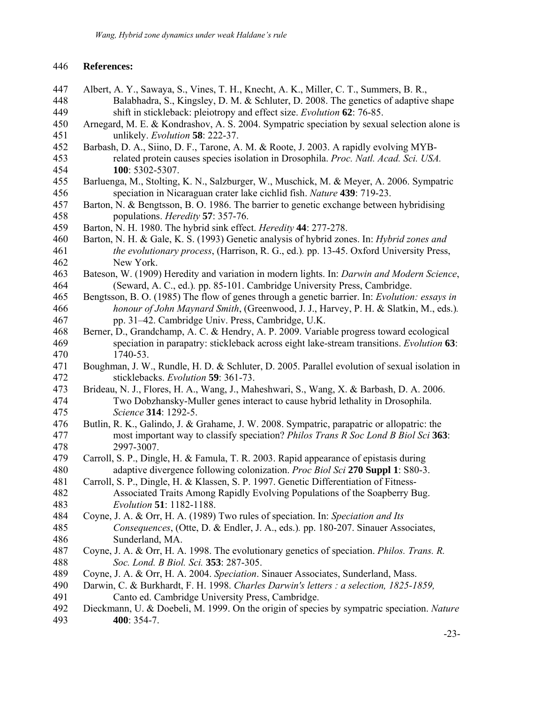#### 446 **References:**

- 447 Albert, A. Y., Sawaya, S., Vines, T. H., Knecht, A. K., Miller, C. T., Summers, B. R., 448 Balabhadra, S., Kingsley, D. M. & Schluter, D. 2008. The genetics of adaptive shape 449 shift in stickleback: pleiotropy and effect size. *Evolution* **62**: 76-85.
- 450 Arnegard, M. E. & Kondrashov, A. S. 2004. Sympatric speciation by sexual selection alone is 451 unlikely. *Evolution* **58**: 222-37.
- 452 Barbash, D. A., Siino, D. F., Tarone, A. M. & Roote, J. 2003. A rapidly evolving MYB-453 related protein causes species isolation in Drosophila. *Proc. Natl. Acad. Sci. USA.*  454 **100**: 5302-5307.
- 455 Barluenga, M., Stolting, K. N., Salzburger, W., Muschick, M. & Meyer, A. 2006. Sympatric 456 speciation in Nicaraguan crater lake cichlid fish. *Nature* **439**: 719-23.
- 457 Barton, N. & Bengtsson, B. O. 1986. The barrier to genetic exchange between hybridising 458 populations. *Heredity* **57**: 357-76.
- 459 Barton, N. H. 1980. The hybrid sink effect. *Heredity* **44**: 277-278.
- 460 Barton, N. H. & Gale, K. S. (1993) Genetic analysis of hybrid zones. In: *Hybrid zones and*  461 *the evolutionary process*, (Harrison, R. G., ed.)*.* pp. 13-45. Oxford University Press, 462 New York.
- 463 Bateson, W. (1909) Heredity and variation in modern lights. In: *Darwin and Modern Science*, 464 (Seward, A. C., ed.)*.* pp. 85-101. Cambridge University Press, Cambridge.
- 465 Bengtsson, B. O. (1985) The flow of genes through a genetic barrier. In: *Evolution: essays in*  466 *honour of John Maynard Smith*, (Greenwood, J. J., Harvey, P. H. & Slatkin, M., eds.)*.*  467 pp. 31–42. Cambridge Univ. Press, Cambridge, U.K.
- 468 Berner, D., Grandchamp, A. C. & Hendry, A. P. 2009. Variable progress toward ecological 469 speciation in parapatry: stickleback across eight lake-stream transitions. *Evolution* **63**: 470 1740-53.
- 471 Boughman, J. W., Rundle, H. D. & Schluter, D. 2005. Parallel evolution of sexual isolation in 472 sticklebacks. *Evolution* **59**: 361-73.
- 473 Brideau, N. J., Flores, H. A., Wang, J., Maheshwari, S., Wang, X. & Barbash, D. A. 2006. 474 Two Dobzhansky-Muller genes interact to cause hybrid lethality in Drosophila. 475 *Science* **314**: 1292-5.
- 476 Butlin, R. K., Galindo, J. & Grahame, J. W. 2008. Sympatric, parapatric or allopatric: the 477 most important way to classify speciation? *Philos Trans R Soc Lond B Biol Sci* **363**: 478 2997-3007.
- 479 Carroll, S. P., Dingle, H. & Famula, T. R. 2003. Rapid appearance of epistasis during 480 adaptive divergence following colonization. *Proc Biol Sci* **270 Suppl 1**: S80-3.
- 481 Carroll, S. P., Dingle, H. & Klassen, S. P. 1997. Genetic Differentiation of Fitness-482 Associated Traits Among Rapidly Evolving Populations of the Soapberry Bug. 483 *Evolution* **51**: 1182-1188.
- 484 Coyne, J. A. & Orr, H. A. (1989) Two rules of speciation. In: *Speciation and Its*  485 *Consequences*, (Otte, D. & Endler, J. A., eds.)*.* pp. 180-207. Sinauer Associates, 486 Sunderland, MA.
- 487 Coyne, J. A. & Orr, H. A. 1998. The evolutionary genetics of speciation. *Philos. Trans. R.*  488 *Soc. Lond. B Biol. Sci.* **353**: 287-305.
- 489 Coyne, J. A. & Orr, H. A. 2004. *Speciation*. Sinauer Associates, Sunderland, Mass.
- 490 Darwin, C. & Burkhardt, F. H. 1998. *Charles Darwin's letters : a selection, 1825-1859,*  491 Canto ed. Cambridge University Press, Cambridge.
- 492 Dieckmann, U. & Doebeli, M. 1999. On the origin of species by sympatric speciation. *Nature*  493 **400**: 354-7.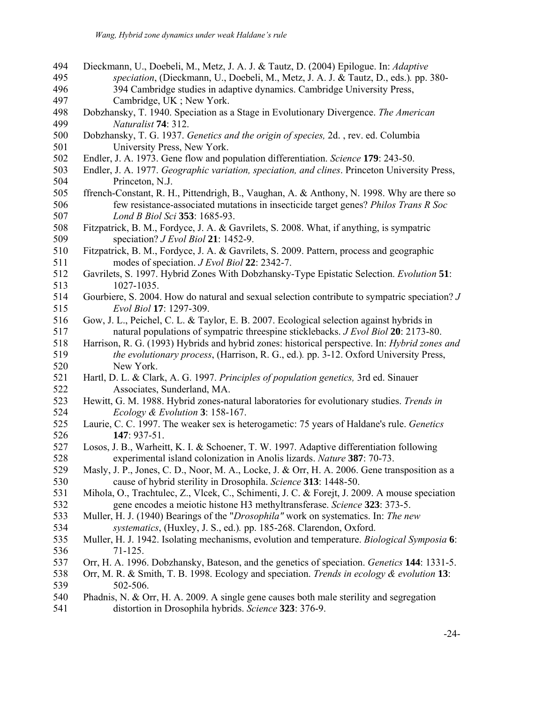494 Dieckmann, U., Doebeli, M., Metz, J. A. J. & Tautz, D. (2004) Epilogue. In: *Adaptive*  495 *speciation*, (Dieckmann, U., Doebeli, M., Metz, J. A. J. & Tautz, D., eds.)*.* pp. 380- 496 394 Cambridge studies in adaptive dynamics. Cambridge University Press, 497 Cambridge, UK ; New York. 498 Dobzhansky, T. 1940. Speciation as a Stage in Evolutionary Divergence. *The American*  499 *Naturalist* **74**: 312. 500 Dobzhansky, T. G. 1937. *Genetics and the origin of species,* 2d. , rev. ed. Columbia 501 University Press, New York. 502 Endler, J. A. 1973. Gene flow and population differentiation. *Science* **179**: 243-50. 503 Endler, J. A. 1977. *Geographic variation, speciation, and clines*. Princeton University Press, 504 Princeton, N.J. 505 ffrench-Constant, R. H., Pittendrigh, B., Vaughan, A. & Anthony, N. 1998. Why are there so 506 few resistance-associated mutations in insecticide target genes? *Philos Trans R Soc*  507 *Lond B Biol Sci* **353**: 1685-93. 508 Fitzpatrick, B. M., Fordyce, J. A. & Gavrilets, S. 2008. What, if anything, is sympatric 509 speciation? *J Evol Biol* **21**: 1452-9. 510 Fitzpatrick, B. M., Fordyce, J. A. & Gavrilets, S. 2009. Pattern, process and geographic 511 modes of speciation. *J Evol Biol* **22**: 2342-7. 512 Gavrilets, S. 1997. Hybrid Zones With Dobzhansky-Type Epistatic Selection. *Evolution* **51**: 513 1027-1035. 514 Gourbiere, S. 2004. How do natural and sexual selection contribute to sympatric speciation? *J*  515 *Evol Biol* **17**: 1297-309. 516 Gow, J. L., Peichel, C. L. & Taylor, E. B. 2007. Ecological selection against hybrids in 517 natural populations of sympatric threespine sticklebacks. *J Evol Biol* **20**: 2173-80. 518 Harrison, R. G. (1993) Hybrids and hybrid zones: historical perspective. In: *Hybrid zones and*  519 *the evolutionary process*, (Harrison, R. G., ed.)*.* pp. 3-12. Oxford University Press, 520 New York. 521 Hartl, D. L. & Clark, A. G. 1997. *Principles of population genetics,* 3rd ed. Sinauer 522 Associates, Sunderland, MA. 523 Hewitt, G. M. 1988. Hybrid zones-natural laboratories for evolutionary studies. *Trends in*  524 *Ecology & Evolution* **3**: 158-167. 525 Laurie, C. C. 1997. The weaker sex is heterogametic: 75 years of Haldane's rule. *Genetics*  526 **147**: 937-51. 527 Losos, J. B., Warheitt, K. I. & Schoener, T. W. 1997. Adaptive differentiation following 528 experimental island colonization in Anolis lizards. *Nature* **387**: 70-73. 529 Masly, J. P., Jones, C. D., Noor, M. A., Locke, J. & Orr, H. A. 2006. Gene transposition as a 530 cause of hybrid sterility in Drosophila. *Science* **313**: 1448-50. 531 Mihola, O., Trachtulec, Z., Vlcek, C., Schimenti, J. C. & Forejt, J. 2009. A mouse speciation 532 gene encodes a meiotic histone H3 methyltransferase. *Science* **323**: 373-5. 533 Muller, H. J. (1940) Bearings of the "*Drosophila"* work on systematics. In: *The new*  534 *systematics*, (Huxley, J. S., ed.)*.* pp. 185-268. Clarendon, Oxford. 535 Muller, H. J. 1942. Isolating mechanisms, evolution and temperature. *Biological Symposia* **6**: 536 71-125. 537 Orr, H. A. 1996. Dobzhansky, Bateson, and the genetics of speciation. *Genetics* **144**: 1331-5. 538 Orr, M. R. & Smith, T. B. 1998. Ecology and speciation. *Trends in ecology & evolution* **13**: 539 502-506. 540 Phadnis, N. & Orr, H. A. 2009. A single gene causes both male sterility and segregation 541 distortion in Drosophila hybrids. *Science* **323**: 376-9.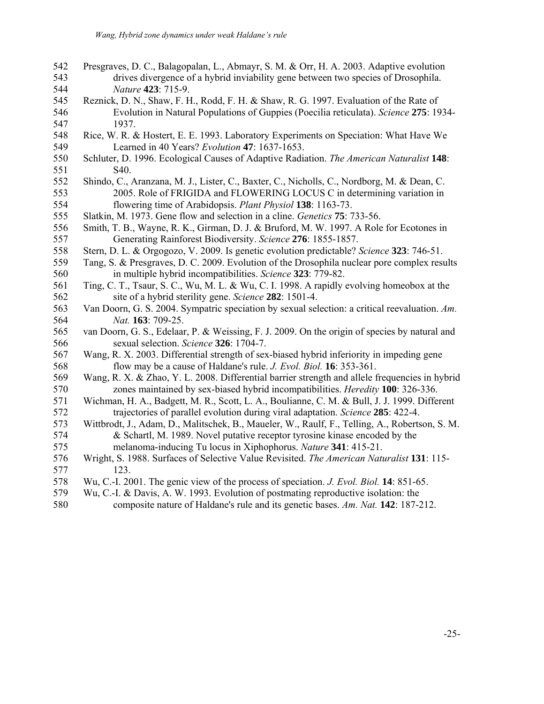- 542 Presgraves, D. C., Balagopalan, L., Abmayr, S. M. & Orr, H. A. 2003. Adaptive evolution 543 drives divergence of a hybrid inviability gene between two species of Drosophila. 544 *Nature* **423**: 715-9.
- 545 Reznick, D. N., Shaw, F. H., Rodd, F. H. & Shaw, R. G. 1997. Evaluation of the Rate of 546 Evolution in Natural Populations of Guppies (Poecilia reticulata). *Science* **275**: 1934- 547 1937.
- 548 Rice, W. R. & Hostert, E. E. 1993. Laboratory Experiments on Speciation: What Have We 549 Learned in 40 Years? *Evolution* **47**: 1637-1653.
- 550 Schluter, D. 1996. Ecological Causes of Adaptive Radiation. *The American Naturalist* **148**: 551 S40.
- 552 Shindo, C., Aranzana, M. J., Lister, C., Baxter, C., Nicholls, C., Nordborg, M. & Dean, C. 553 2005. Role of FRIGIDA and FLOWERING LOCUS C in determining variation in 554 flowering time of Arabidopsis. *Plant Physiol* **138**: 1163-73.
- 555 Slatkin, M. 1973. Gene flow and selection in a cline. *Genetics* **75**: 733-56.
- 556 Smith, T. B., Wayne, R. K., Girman, D. J. & Bruford, M. W. 1997. A Role for Ecotones in 557 Generating Rainforest Biodiversity. *Science* **276**: 1855-1857.
- 558 Stern, D. L. & Orgogozo, V. 2009. Is genetic evolution predictable? *Science* **323**: 746-51.
- 559 Tang, S. & Presgraves, D. C. 2009. Evolution of the Drosophila nuclear pore complex results 560 in multiple hybrid incompatibilities. *Science* **323**: 779-82.
- 561 Ting, C. T., Tsaur, S. C., Wu, M. L. & Wu, C. I. 1998. A rapidly evolving homeobox at the 562 site of a hybrid sterility gene. *Science* **282**: 1501-4.
- 563 Van Doorn, G. S. 2004. Sympatric speciation by sexual selection: a critical reevaluation. *Am.*  564 *Nat.* **163**: 709-25.
- 565 van Doorn, G. S., Edelaar, P. & Weissing, F. J. 2009. On the origin of species by natural and 566 sexual selection. *Science* **326**: 1704-7.
- 567 Wang, R. X. 2003. Differential strength of sex-biased hybrid inferiority in impeding gene 568 flow may be a cause of Haldane's rule. *J. Evol. Biol.* **16**: 353-361.
- 569 Wang, R. X. & Zhao, Y. L. 2008. Differential barrier strength and allele frequencies in hybrid 570 zones maintained by sex-biased hybrid incompatibilities. *Heredity* **100**: 326-336.
- 571 Wichman, H. A., Badgett, M. R., Scott, L. A., Boulianne, C. M. & Bull, J. J. 1999. Different 572 trajectories of parallel evolution during viral adaptation. *Science* **285**: 422-4.
- 573 Wittbrodt, J., Adam, D., Malitschek, B., Maueler, W., Raulf, F., Telling, A., Robertson, S. M. 574 & Schartl, M. 1989. Novel putative receptor tyrosine kinase encoded by the 575 melanoma-inducing Tu locus in Xiphophorus. *Nature* **341**: 415-21.
- 576 Wright, S. 1988. Surfaces of Selective Value Revisited. *The American Naturalist* **131**: 115- 577 123.
- 578 Wu, C.-I. 2001. The genic view of the process of speciation. *J. Evol. Biol.* **14**: 851-65.
- 579 Wu, C.-I. & Davis, A. W. 1993. Evolution of postmating reproductive isolation: the
- 580 composite nature of Haldane's rule and its genetic bases. *Am. Nat.* **142**: 187-212.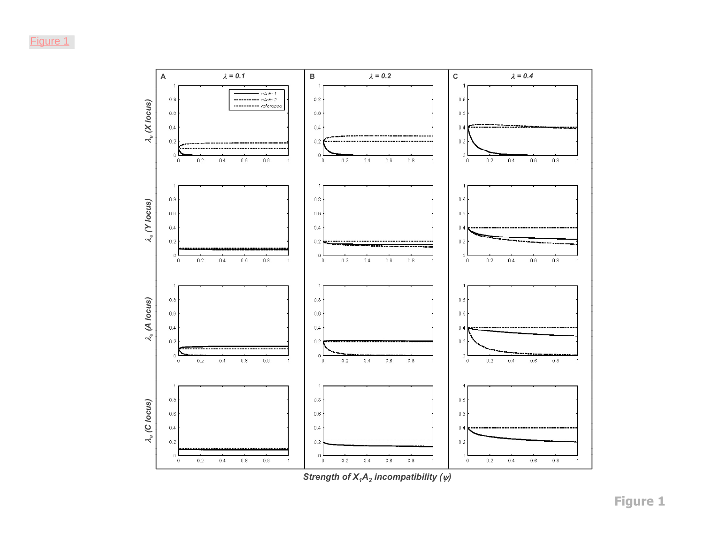

*S ftrength of X ( ) <sup>1</sup>A2 Strength of incompatibility incompatibility*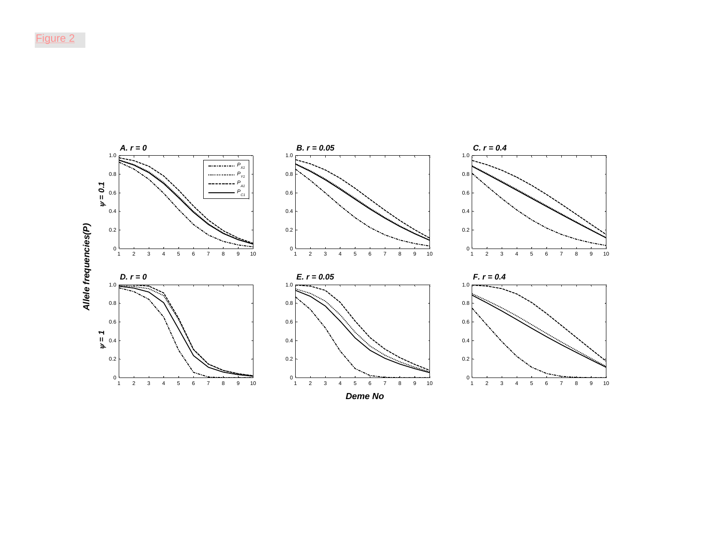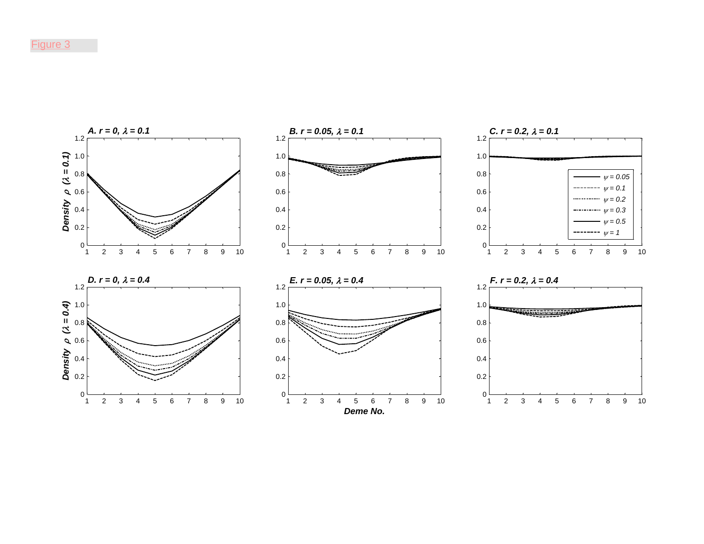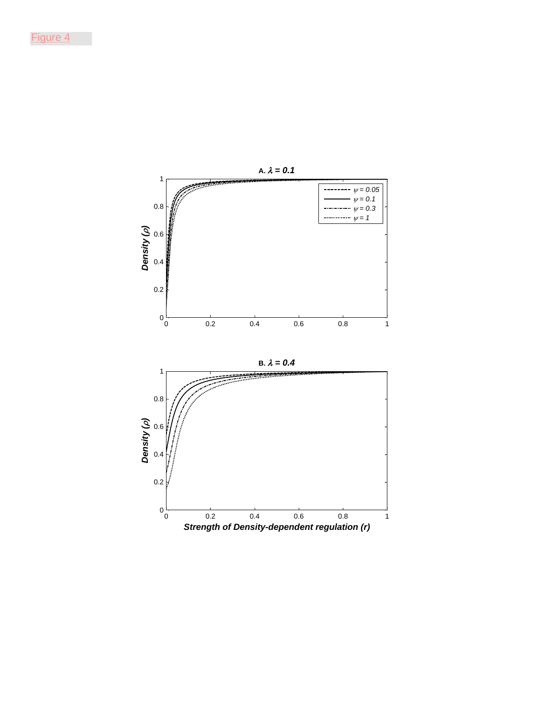![](_page_28_Figure_1.jpeg)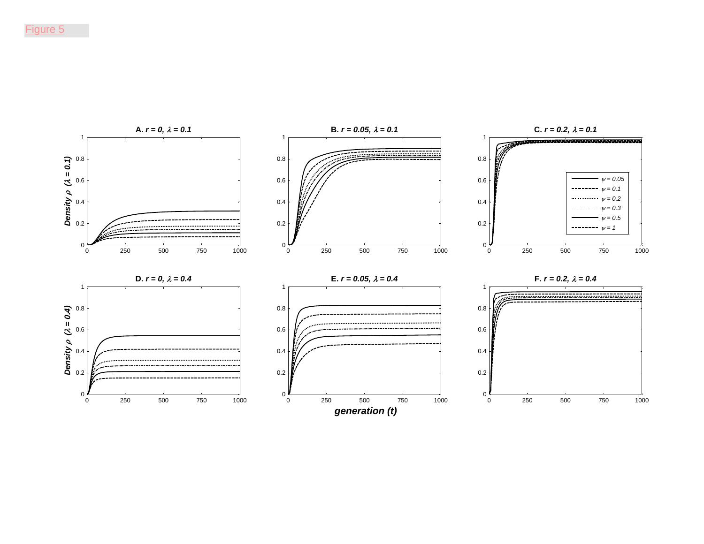![](_page_29_Figure_1.jpeg)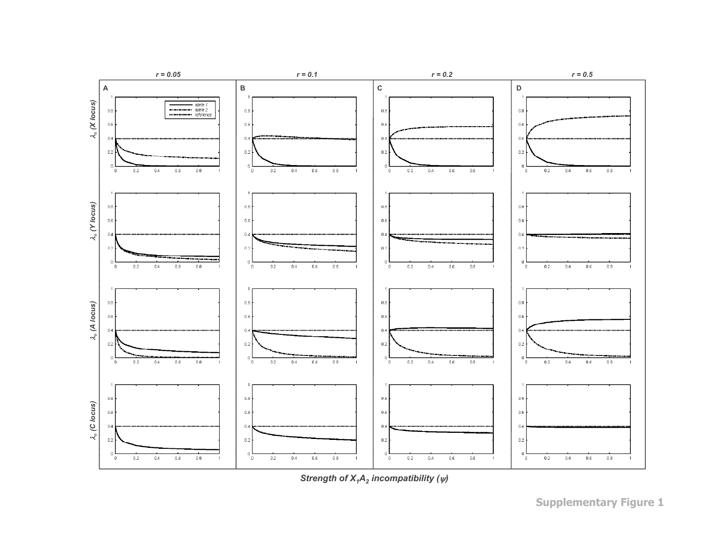![](_page_30_Figure_0.jpeg)

*Strength of X1A2 Strength of X incompatibility () <sup>1</sup>A2incompatibility* 

**Supplementary Figure 1**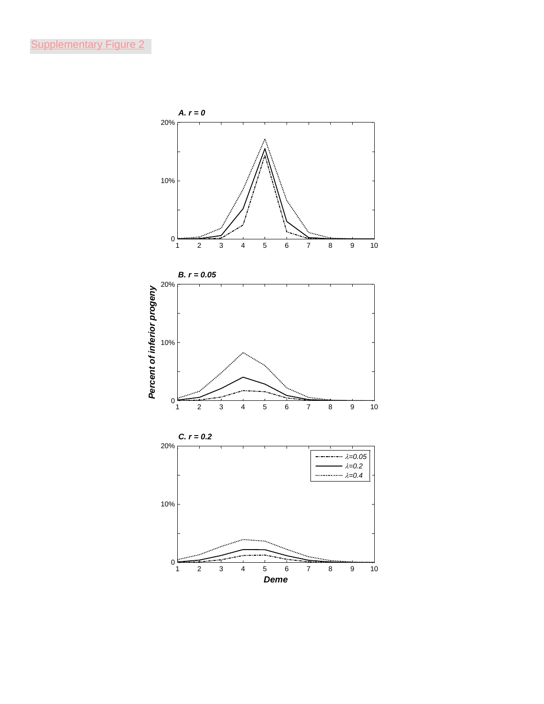![](_page_31_Figure_1.jpeg)